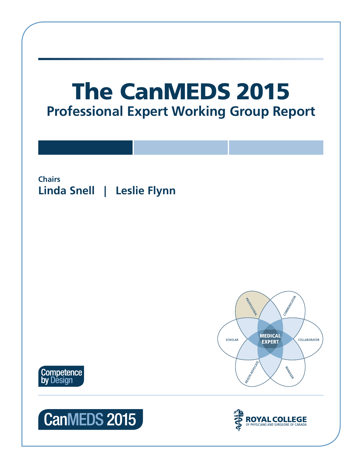# The CanMEDS 2015 **Professional Expert Working Group Report**

# **Chairs Linda Snell | Leslie Flynn**





# CanMEDS 2015

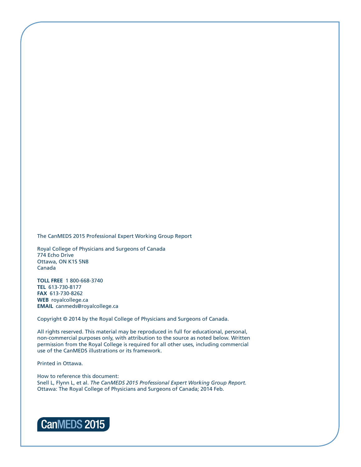The CanMEDS 2015 Professional Expert Working Group Report

Royal College of Physicians and Surgeons of Canada 774 Echo Drive Ottawa, ON K1S 5N8 Canada

**TOLL FREE** 1 800-668-3740 **TEL** 613-730-8177 **FAX** 613-730-8262 **WEB** royalcollege.ca **EMAIL** canmeds@royalcollege.ca

Copyright © 2014 by the Royal College of Physicians and Surgeons of Canada.

All rights reserved. This material may be reproduced in full for educational, personal, non-commercial purposes only, with attribution to the source as noted below. Written permission from the Royal College is required for all other uses, including commercial use of the CanMEDS illustrations or its framework.

Printed in Ottawa.

How to reference this document: Snell L, Flynn L, et al. *The CanMEDS 2015 Professional Expert Working Group Report.* Ottawa: The Royal College of Physicians and Surgeons of Canada; 2014 Feb.

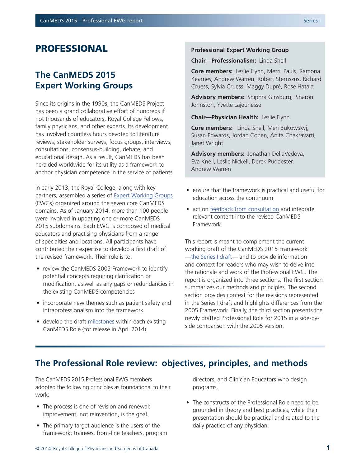## PROFESSIONAL

## **The CanMEDS 2015 Expert Working Groups**

Since its origins in the 1990s, the CanMEDS Project has been a grand collaborative effort of hundreds if not thousands of educators, Royal College Fellows, family physicians, and other experts. Its development has involved countless hours devoted to literature reviews, stakeholder surveys, focus groups, interviews, consultations, consensus-building, debate, and educational design. As a result, CanMEDS has been heralded worldwide for its utility as a framework to anchor physician competence in the service of patients.

In early 2013, the Royal College, along with key partners, assembled a series of [Expert Working Groups](http://www.royalcollege.ca/portal/page/portal/rc/canmeds/canmeds2015/structure) (EWGs) organized around the seven core CanMEDS domains. As of January 2014, more than 100 people were involved in updating one or more CanMEDS 2015 subdomains. Each EWG is composed of medical educators and practising physicians from a range of specialties and locations. All participants have contributed their expertise to develop a first draft of the revised framework. Their role is to:

- review the CanMEDS 2005 Framework to identify potential concepts requiring clarification or modification, as well as any gaps or redundancies in the existing CanMEDS competencies
- incorporate new themes such as patient safety and intraprofessionalism into the framework
- develop the draft [milestones](http://www.royalcollege.ca/portal/page/portal/rc/canmeds/canmeds2015/updates) within each existing CanMEDS Role (for release in April 2014)

#### **Professional Expert Working Group**

**Chair—Professionalism:** Linda Snell

**Core members:** Leslie Flynn, Merril Pauls, Ramona Kearney, Andrew Warren, Robert Sternszus, Richard Cruess, Sylvia Cruess, Maggy Dupré, Rose Hatala

**Advisory members:** Shiphra Ginsburg, Sharon Johnston, Yvette Lajeunesse

**Chair—Physician Health:** Leslie Flynn

**Core members:** Linda Snell, Meri Bukowskyj, Susan Edwards, Jordan Cohen, Anita Chakravarti, Janet Wright

**Advisory members:** Jonathan DellaVedova, Eva Knell, Leslie Nickell, Derek Puddester, Andrew Warren

- ensure that the framework is practical and useful for education across the continuum
- act on [feedback from consultation](http://www.royalcollege.ca/portal/page/portal/rc/common/documents/canmeds/framework/phase_1_consultation_report_e.pdf) and integrate relevant content into the revised CanMEDS Framework

This report is meant to complement the current working draft of the CanMEDS 2015 Framework —[the Series I draft](http://www.royalcollege.ca/portal/page/portal/rc/common/documents/canmeds/framework/framework_series_1_e.pdf)— and to provide information and context for readers who may wish to delve into the rationale and work of the Professional EWG. The report is organized into three sections. The first section summarizes our methods and principles. The second section provides context for the revisions represented in the Series I draft and highlights differences from the 2005 Framework. Finally, the third section presents the newly drafted Professional Role for 2015 in a side-byside comparison with the 2005 version.

## **The Professional Role review: objectives, principles, and methods**

The CanMEDS 2015 Professional EWG members adopted the following principles as foundational to their work:

- The process is one of revision and renewal: improvement, not reinvention, is the goal.
- The primary target audience is the users of the framework: trainees, front-line teachers, program

directors, and Clinician Educators who design programs.

• The constructs of the Professional Role need to be grounded in theory and best practices, while their presentation should be practical and related to the daily practice of any physician.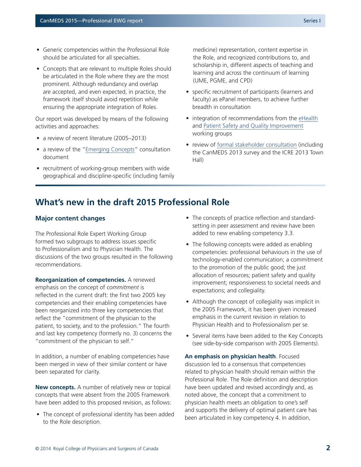- Generic competencies within the Professional Role should be articulated for all specialties.
- Concepts that are relevant to multiple Roles should be articulated in the Role where they are the most prominent. Although redundancy and overlap are accepted, and even expected, in practice, the framework itself should avoid repetition while ensuring the appropriate integration of Roles.

Our report was developed by means of the following activities and approaches:

- a review of recent literature (2005–2013)
- a review of the ["Emerging Concepts](http://www.royalcollege.ca/portal/page/portal/rc/common/documents/canmeds/framework/emerging_concepts_report_e.pdf)" consultation document
- recruitment of working-group members with wide geographical and discipline-specific (including family

medicine) representation, content expertise in the Role, and recognized contributions to, and scholarship in, different aspects of teaching and learning and across the continuum of learning (UME, PGME, and CPD)

- specific recruitment of participants (learners and faculty) as ePanel members, to achieve further breadth in consultation
- integration of recommendations from the eHealth and Patient Safety and Quality Improvement working groups
- review of formal stakeholder consultation (including the CanMEDS 2013 survey and the ICRE 2013 Town Hall)

## **What's new in the draft 2015 Professional Role**

#### **Major content changes**

The Professional Role Expert Working Group formed two subgroups to address issues specific to Professionalism and to Physician Health. The discussions of the two groups resulted in the following recommendations.

**Reorganization of competencies.** A renewed emphasis on the concept of *commitment* is reflected in the current draft: the first two 2005 key competencies and their enabling competencies have been reorganized into three key competencies that reflect the "commitment of the physician to the patient, to society, and to the profession." The fourth and last key competency (formerly no. 3) concerns the "commitment of the physician to self."

In addition, a number of enabling competencies have been merged in view of their similar content or have been separated for clarity.

**New concepts.** A number of relatively new or topical concepts that were absent from the 2005 Framework have been added to this proposed revision, as follows:

• The concept of professional identity has been added to the Role description.

- The concepts of practice reflection and standardsetting in peer assessment and review have been added to new enabling competency 3.3.
- The following concepts were added as enabling competencies: professional behaviours in the use of technology-enabled communication; a commitment to the promotion of the public good; the just allocation of resources; patient safety and quality improvement; responsiveness to societal needs and expectations; and collegiality.
- Although the concept of collegiality was implicit in the 2005 Framework, it has been given increased emphasis in the current revision in relation to Physician Health and to Professionalism per se.
- Several items have been added to the Key Concepts (see side-by-side comparison with 2005 Elements).

**An emphasis on physician health**. Focused discussion led to a consensus that competencies related to physician health should remain within the Professional Role. The Role definition and description have been updated and revised accordingly and, as noted above, the concept that a commitment to physician health meets an obligation to one's self and supports the delivery of optimal patient care has been articulated in key competency 4. In addition,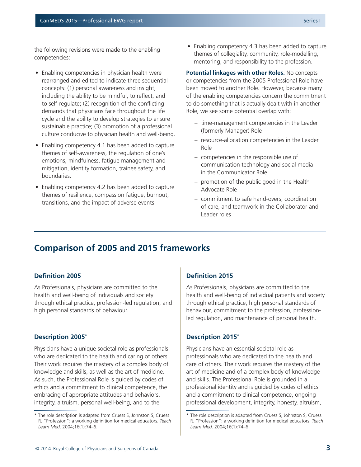the following revisions were made to the enabling competencies:

- Enabling competencies in physician health were rearranged and edited to indicate three sequential concepts: (1) personal awareness and insight, including the ability to be mindful, to reflect, and to self-regulate; (2) recognition of the conflicting demands that physicians face throughout the life cycle and the ability to develop strategies to ensure sustainable practice; (3) promotion of a professional culture conducive to physician health and well-being.
- Enabling competency 4.1 has been added to capture themes of self-awareness, the regulation of one's emotions, mindfulness, fatigue management and mitigation, identity formation, trainee safety, and boundaries.
- Enabling competency 4.2 has been added to capture themes of resilience, compassion fatigue, burnout, transitions, and the impact of adverse events.

• Enabling competency 4.3 has been added to capture themes of collegiality, community, role-modelling, mentoring, and responsibility to the profession.

**Potential linkages with other Roles.** No concepts or competencies from the 2005 Professional Role have been moved to another Role. However, because many of the enabling competencies concern the commitment to do something that is actually dealt with in another Role, we see some potential overlap with:

- –– time-management competencies in the Leader (formerly Manager) Role
- –– resource-allocation competencies in the Leader Role
- –– competencies in the responsible use of communication technology and social media in the Communicator Role
- –– promotion of the public good in the Health Advocate Role
- –– commitment to safe hand-overs, coordination of care, and teamwork in the Collaborator and Leader roles

## **Comparison of 2005 and 2015 frameworks**

#### **Definition 2005**

As Professionals, physicians are committed to the health and well-being of individuals and society through ethical practice, profession-led regulation, and high personal standards of behaviour.

#### **Description 2005\***

Physicians have a unique societal role as professionals who are dedicated to the health and caring of others. Their work requires the mastery of a complex body of knowledge and skills, as well as the art of medicine. As such, the Professional Role is guided by codes of ethics and a commitment to clinical competence, the embracing of appropriate attitudes and behaviors, integrity, altruism, personal well-being, and to the

#### **Definition 2015**

As Professionals, physicians are committed to the health and well-being of individual patients and society through ethical practice, high personal standards of behaviour, commitment to the profession, professionled regulation, and maintenance of personal health.

#### **Description 2015\***

Physicians have an essential societal role as professionals who are dedicated to the health and care of others. Their work requires the mastery of the art of medicine and of a complex body of knowledge and skills. The Professional Role is grounded in a professional identity and is guided by codes of ethics and a commitment to clinical competence, ongoing professional development, integrity, honesty, altruism,

<sup>\*</sup> The role description is adapted from Cruess S, Johnston S, Cruess R. "Profession": a working definition for medical educators. *Teach Learn Med*. 2004;16(1):74–6.

<sup>\*</sup> The role description is adapted from Cruess S, Johnston S, Cruess R. "Profession": a working definition for medical educators. *Teach Learn Med.* 2004;16(1):74–6.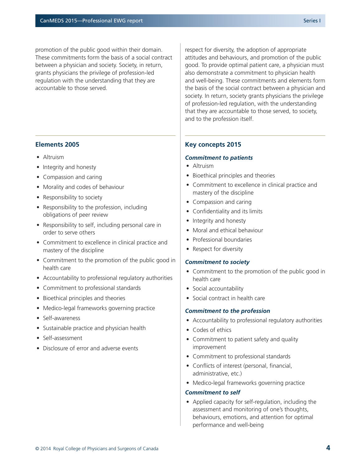promotion of the public good within their domain. These commitments form the basis of a social contract between a physician and society. Society, in return, grants physicians the privilege of profession-led regulation with the understanding that they are accountable to those served.

**Elements 2005**

- Altruism
- Integrity and honesty
- Compassion and caring
- Morality and codes of behaviour
- Responsibility to society
- Responsibility to the profession, including obligations of peer review
- Responsibility to self, including personal care in order to serve others
- Commitment to excellence in clinical practice and mastery of the discipline
- Commitment to the promotion of the public good in health care
- Accountability to professional regulatory authorities
- Commitment to professional standards
- Bioethical principles and theories
- Medico-legal frameworks governing practice
- Self-awareness
- Sustainable practice and physician health
- Self-assessment
- Disclosure of error and adverse events

respect for diversity, the adoption of appropriate attitudes and behaviours, and promotion of the public good. To provide optimal patient care, a physician must also demonstrate a commitment to physician health and well-being. These commitments and elements form the basis of the social contract between a physician and society. In return, society grants physicians the privilege of profession-led regulation, with the understanding that they are accountable to those served, to society, and to the profession itself.

#### **Key concepts 2015**

#### *Commitment to patients*

- Altruism
- Bioethical principles and theories
- Commitment to excellence in clinical practice and mastery of the discipline
- Compassion and caring
- Confidentiality and its limits
- Integrity and honesty
- Moral and ethical behaviour
- Professional boundaries
- Respect for diversity

#### *Commitment to society*

- Commitment to the promotion of the public good in health care
- Social accountability
- Social contract in health care

#### *Commitment to the profession*

- Accountability to professional regulatory authorities
- Codes of ethics
- Commitment to patient safety and quality improvement
- Commitment to professional standards
- Conflicts of interest (personal, financial, administrative, etc.)
- Medico-legal frameworks governing practice

#### *Commitment to self*

• Applied capacity for self-regulation, including the assessment and monitoring of one's thoughts, behaviours, emotions, and attention for optimal performance and well-being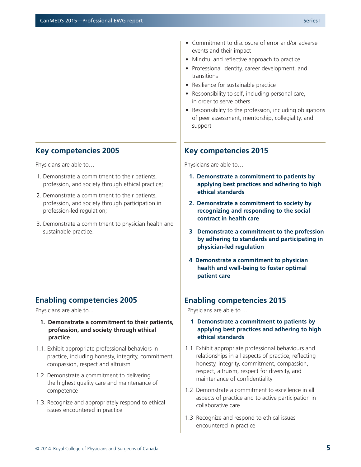Physicians are able to…

- 1. Demonstrate a commitment to their patients, profession, and society through ethical practice;
- 2. Demonstrate a commitment to their patients, profession, and society through participation in profession-led regulation;
- 3. Demonstrate a commitment to physician health and sustainable practice.
- Commitment to disclosure of error and/or adverse events and their impact
- Mindful and reflective approach to practice
- Professional identity, career development, and transitions
- Resilience for sustainable practice
- Responsibility to self, including personal care, in order to serve others
- Responsibility to the profession, including obligations of peer assessment, mentorship, collegiality, and support

## **Key competencies 2015**

Physicians are able to…

- **1. Demonstrate a commitment to patients by applying best practices and adhering to high ethical standards**
- **2. Demonstrate a commitment to society by recognizing and responding to the social contract in health care**
- **3 Demonstrate a commitment to the profession by adhering to standards and participating in physician-led regulation**
- **4 Demonstrate a commitment to physician health and well-being to foster optimal patient care**

## **Enabling competencies 2005**

Physicians are able to...

- **1. Demonstrate a commitment to their patients, profession, and society through ethical practice**
- 1.1. Exhibit appropriate professional behaviors in practice, including honesty, integrity, commitment, compassion, respect and altruism
- 1.2. Demonstrate a commitment to delivering the highest quality care and maintenance of competence
- 1.3. Recognize and appropriately respond to ethical issues encountered in practice

## **Enabling competencies 2015**

Physicians are able to ...

- **1 Demonstrate a commitment to patients by applying best practices and adhering to high ethical standards**
- 1.1 Exhibit appropriate professional behaviours and relationships in all aspects of practice, reflecting honesty, integrity, commitment, compassion, respect, altruism, respect for diversity, and maintenance of confidentiality
- 1.2 Demonstrate a commitment to excellence in all aspects of practice and to active participation in collaborative care
- 1.3 Recognize and respond to ethical issues encountered in practice